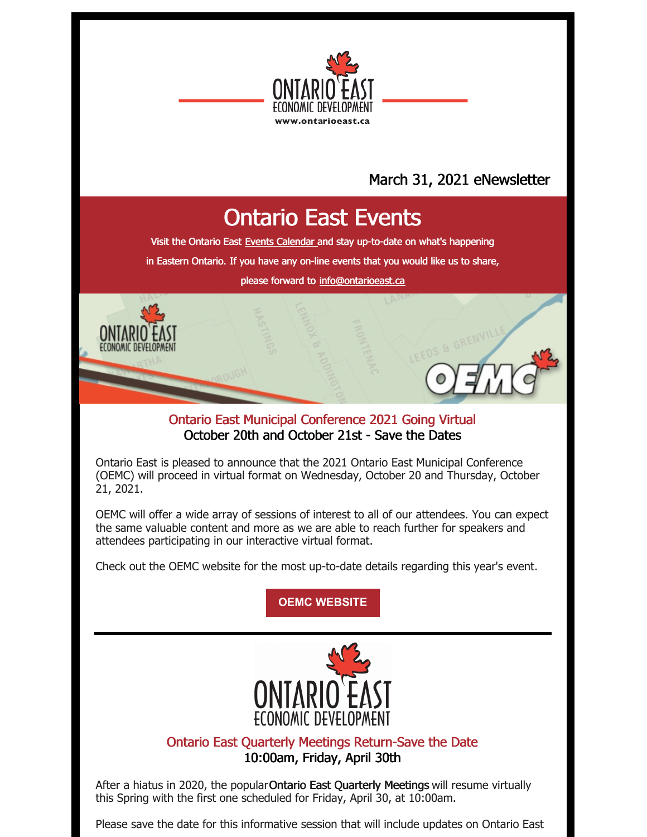

## March 31, 2021 eNewsletter

# Ontario East Events

Visit the Ontario East Events [Calendar](https://ontarioeast.ca/events) and stay up-to-date on what's happening

in Eastern Ontario. If you have any on-line events that you would like us to share,

please forward to [info@ontarioeast.ca](mailto:info@ontarioeast.ca)

### Ontario East Municipal Conference 2021 Going Virtual October 20th and October 21st - Save the Dates

Ontario East is pleased to announce that the 2021 Ontario East Municipal Conference (OEMC) will proceed in virtual format on Wednesday, October 20 and Thursday, October 21, 2021.

OEMC will offer a wide array of sessions of interest to all of our attendees. You can expect the same valuable content and more as we are able to reach further for speakers and attendees participating in our interactive virtual format.

Check out the OEMC website for the most up-to-date details regarding this year's event.

**OEMC [WEBSITE](https://oemc.ca/)**



### Ontario East Quarterly Meetings Return-Save the Date 10:00am, Friday, April 30th

After a hiatus in 2020, the popular Ontario East Quarterly Meetings will resume virtually this Spring with the first one scheduled for Friday, April 30, at 10:00am.

Please save the date for this informative session that will include updates on Ontario East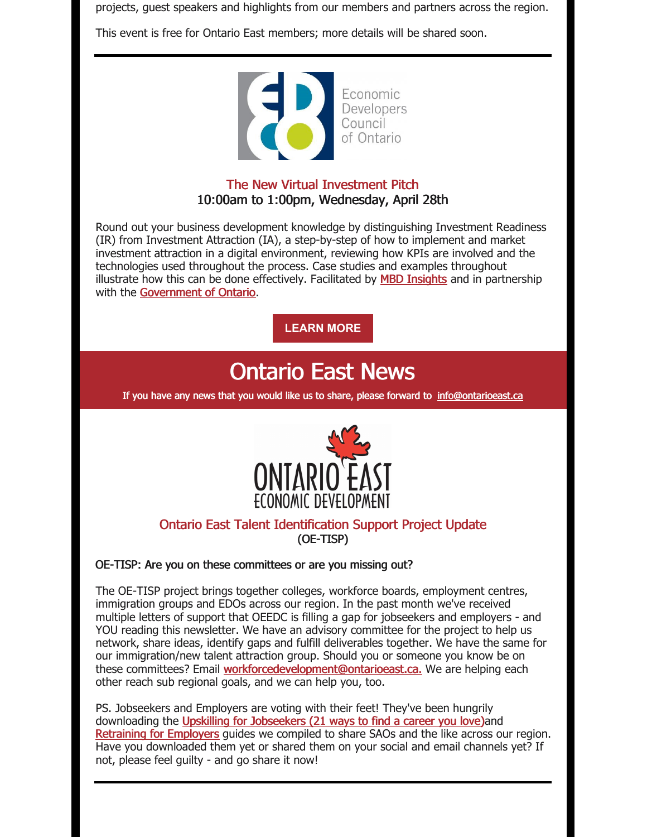projects, guest speakers and highlights from our members and partners across the region.

This event is free for Ontario East members; more details will be shared soon.



### The New Virtual Investment Pitch 10:00am to 1:00pm, Wednesday, April 28th

Round out your business development knowledge by distinguishing Investment Readiness (IR) from Investment Attraction (IA), a step-by-step of how to implement and market investment attraction in a digital environment, reviewing how KPIs are involved and the technologies used throughout the process. Case studies and examples throughout illustrate how this can be done effectively. Facilitated by MBD [Insights](https://mdbinsight.com/) and in partnership with the [Government](https://www.ontario.ca/) of Ontario.

**[LEARN](https://edco.on.ca/event-4214073?CalendarViewType=1&SelectedDate=4/16/2021) MORE**

## Ontario East News

If you have any news that you would like us to share, please forward to [info@ontarioeast.ca](mailto:info@ontarioeast.ca)



### Ontario East Talent Identification Support Project Update (OE-TISP)

#### OE-TISP: Are you on these committees or are you missing out?

The OE-TISP project brings together colleges, workforce boards, employment centres, immigration groups and EDOs across our region. In the past month we've received multiple letters of support that OEEDC is filling a gap for jobseekers and employers - and YOU reading this newsletter. We have an advisory committee for the project to help us network, share ideas, identify gaps and fulfill deliverables together. We have the same for our immigration/new talent attraction group. Should you or someone you know be on these committees? Email [workforcedevelopment@ontarioeast.ca.](mailto:workforcedevelopment@ontarioeast.ca.) We are helping each other reach sub regional goals, and we can help you, too.

PS. Jobseekers and Employers are voting with their feet! They've been hungrily downloading the Upskilling for [Jobseekers](https://t.sidekickopen45.com/s3t/c/5/f18dQhb0S7kv8c82szVf5rhG59hl3kW7_k2842PyJyGW7wzN4k2Qx-dHW2Swb-n2bzNMtf46JSFc01?te=W3R5hFj4cm2zwW43Qghc49Rd2GW41Yx_n3T1LrZW4cQb1f3yMKZJW4mF-Fm3z8JhqW3Q-Yhm45VdpmW3ZY6VR3NBb4vW43QJQG3_ZvrSf4hGPyL04&si=5457739056414720&pi=dbf4404d-e34e-4610-d485-d42977d8ec03) (21 ways to find a career you love)and [Retraining](https://t.sidekickopen45.com/s3t/c/5/f18dQhb0S7kv8c82szVf5rhG59hl3kW7_k2842PyJyGW7wzN4k2Qx-dHW2Swb-n2bzNMtf46JSFc01?te=W3R5hFj4cm2zwW43Qghc49Rd2GW41Yx_n3T1LrZW4cQb1f3yMMgLW3T0vFB1Gzn1jW3K6jW03_SNwqW1GGnTm3P5VwLF4cfLl5PbMD1&si=5457739056414720&pi=dbf4404d-e34e-4610-d485-d42977d8ec03) for Employers guides we compiled to share SAOs and the like across our region. Have you downloaded them yet or shared them on your social and email channels yet? If not, please feel guilty - and go share it now!